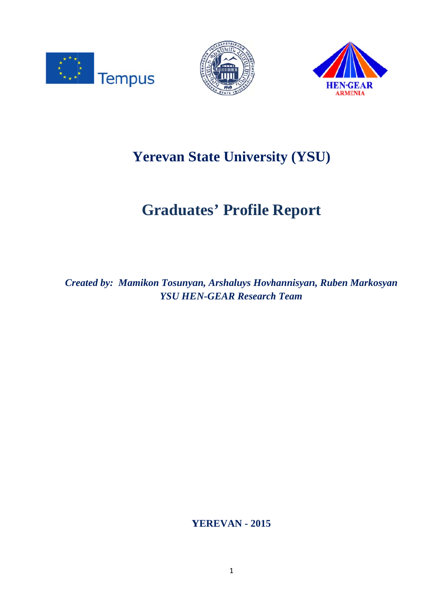





# **Yerevan State University (YSU)**

# **Graduates' Profile Report**

Created by: Mamikon Tosunyan, Arshaluys Hovhannisyan, Ruben Markosyan **YSU HEN-GEAR Research Team** 

**YEREVAN - 2015**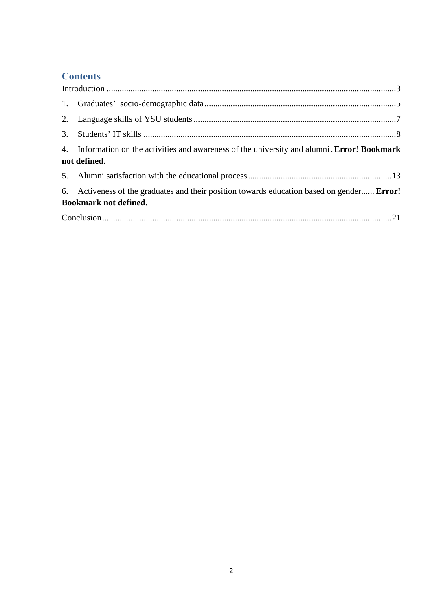# **Contents**

| 4. Information on the activities and awareness of the university and alumni. Error! Bookmark<br>not defined.               |  |  |  |
|----------------------------------------------------------------------------------------------------------------------------|--|--|--|
|                                                                                                                            |  |  |  |
| 6. Activeness of the graduates and their position towards education based on gender Error!<br><b>Bookmark not defined.</b> |  |  |  |
|                                                                                                                            |  |  |  |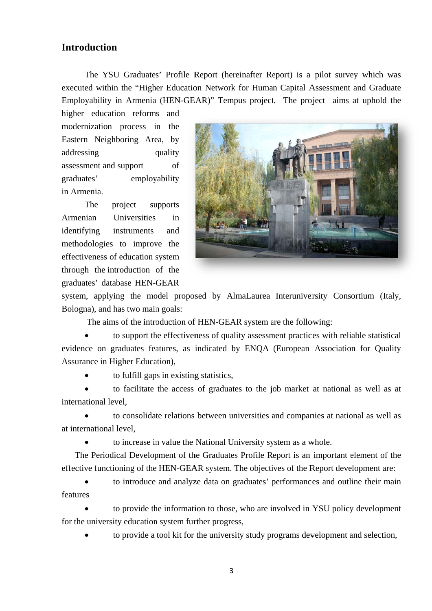#### **Introduction**

The YSU Graduates' Profile Report (hereinafter Report) is a pilot survey which was executed within the "Higher Education Network for Human Capital Assessment and Graduate Employability in Armenia (HEN-GEAR)" Tempus project. The project aims at uphold the

higher education reforms and modernization process in the Eastern Neighboring Area, by addressing quality assessment and support  $\sigma$ f employability graduates' in Armenia.

The project supports Armenian Universities  $in$ identifying instruments and methodologies to improve the effectiveness of education system through the introduction of the graduates' database HEN-GEAR



system, applying the model proposed by AlmaLaurea Interuniversity Consortium (Italy, Bologna), and has two main goals:

The aims of the introduction of HEN-GEAR system are the following:

to support the effectiveness of quality assessment practices with reliable statistical evidence on graduates features, as indicated by ENQA (European Association for Quality Assurance in Higher Education),

to fulfill gaps in existing statistics,

to facilitate the access of graduates to the job market at national as well as at international level.

to consolidate relations between universities and companies at national as well as at international level.

to increase in value the National University system as a whole.

The Periodical Development of the Graduates Profile Report is an important element of the effective functioning of the HEN-GEAR system. The objectives of the Report development are:

to introduce and analyze data on graduates' performances and outline their main features

to provide the information to those, who are involved in YSU policy development for the university education system further progress,

to provide a tool kit for the university study programs development and selection,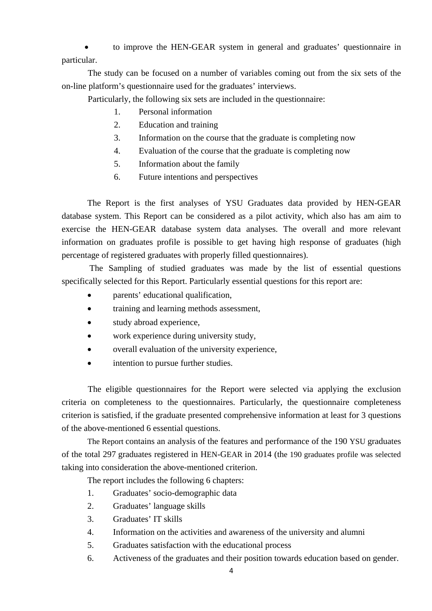to improve the HEN-GEAR system in general and graduates' questionnaire in particular.

The study can be focused on a number of variables coming out from the six sets of the on-line platform's questionnaire used for the graduates' interviews.

Particularly, the following six sets are included in the questionnaire:

- 1. Personal information
- 2. Education and training
- 3. Information on the course that the graduate is completing now
- 4. Evaluation of the course that the graduate is completing now
- 5. Information about the family
- 6. Future intentions and perspectives

The Report is the first analyses of YSU Graduates data provided by HEN-GEAR database system. This Report can be considered as a pilot activity, which also has am aim to exercise the HEN-GEAR database system data analyses. The overall and more relevant information on graduates profile is possible to get having high response of graduates (high percentage of registered graduates with properly filled questionnaires).

 The Sampling of studied graduates was made by the list of essential questions specifically selected for this Report. Particularly essential questions for this report are:

- parents' educational qualification,
- training and learning methods assessment,
- study abroad experience,
- work experience during university study,
- overall evaluation of the university experience,
- intention to pursue further studies.

The eligible questionnaires for the Report were selected via applying the exclusion criteria on completeness to the questionnaires. Particularly, the questionnaire completeness criterion is satisfied, if the graduate presented comprehensive information at least for 3 questions of the above-mentioned 6 essential questions.

The Report contains an analysis of the features and performance of the 190 YSU graduates of the total 297 graduates registered in HEN-GEAR in 2014 (the 190 graduates profile was selected taking into consideration the above-mentioned criterion.

The report includes the following 6 chapters:

- 1. Graduates' socio-demographic data
- 2. Graduates' language skills
- 3. Graduates' IT skills
- 4. Information on the activities and awareness of the university and alumni
- 5. Graduates satisfaction with the educational process
- 6. Activeness of the graduates and their position towards education based on gender.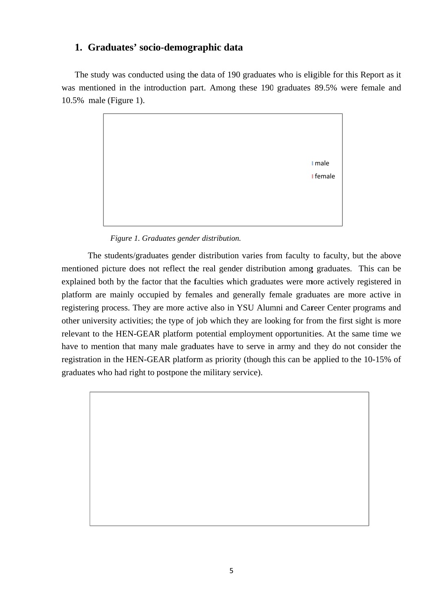### 1. Graduates' socio-demographic data

The study was conducted using the data of 190 graduates who is eligible for this Report as it was mentioned in the introduction part. Among these 190 graduates 89.5% were female and  $10.5\%$  male (Figure 1).



Figure 1. Graduates gender distribution.

The students/graduates gender distribution varies from faculty to faculty, but the above mentioned picture does not reflect the real gender distribution among graduates. This can be explained both by the factor that the faculties which graduates were more actively registered in platform are mainly occupied by females and generally female graduates are more active in registering process. They are more active also in YSU Alumni and Career Center programs and other university activities; the type of job which they are looking for from the first sight is more relevant to the HEN-GEAR platform potential employment opportunities. At the same time we have to mention that many male graduates have to serve in army and they do not consider the registration in the HEN-GEAR platform as priority (though this can be applied to the 10-15% of graduates who had right to postpone the military service).

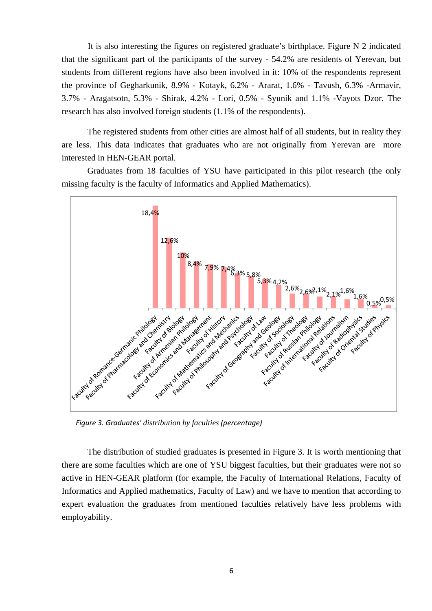It is also interesting the figures on registered graduate's birthplace. Figure N 2 indicated that the significant part of the participants of the survey - 54.2% are residents of Yerevan, but students from different regions have also been involved in it: 10% of the respondents represent the province of Gegharkunik, 8.9% - Kotayk, 6.2% - Ararat, 1.6% - Tavush, 6.3% -Armavir, 3.7% - Aragatsotn, 5.3% - Shirak, 4.2% - Lori, 0.5% - Syunik and 1.1% -Vayots Dzor. The research has also involved foreign students (1.1% of the respondents).

The registered students from other cities are almost half of all students, but in reality they are less. This data indicates that graduates who are not originally from Yerevan are more interested in HEN-GEAR portal.

Graduates from 18 faculties of YSU have participated in this pilot research (the only missing faculty is the faculty of Informatics and Applied Mathematics).



*Figure 3. Graduates' distribution by faculties (percentage)*

The distribution of studied graduates is presented in Figure 3. It is worth mentioning that there are some faculties which are one of YSU biggest faculties, but their graduates were not so active in HEN-GEAR platform (for example, the Faculty of International Relations, Faculty of Informatics and Applied mathematics, Faculty of Law) and we have to mention that according to expert evaluation the graduates from mentioned faculties relatively have less problems with employability.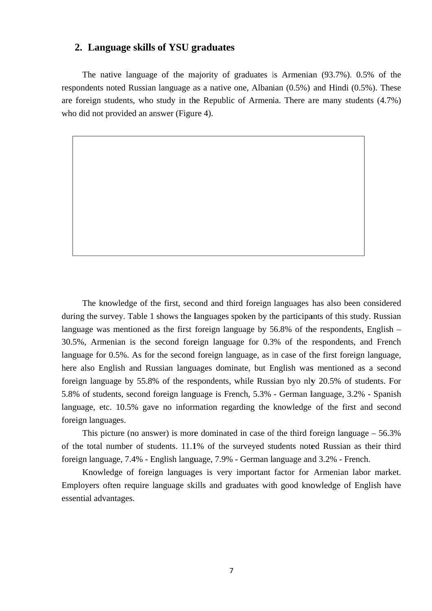#### 2. Language skills of YSU graduates

The native language of the majority of graduates is Armenian (93.7%). 0.5% of the respondents noted Russian language as a native one, Albanian (0.5%) and Hindi (0.5%). These are foreign students, who study in the Republic of Armenia. There are many students (4.7%) who did not provided an answer (Figure 4).

The knowledge of the first, second and third foreign languages has also been considered during the survey. Table 1 shows the languages spoken by the participants of this study. Russian language was mentioned as the first foreign language by  $56.8\%$  of the respondents, English – 30.5%, Armenian is the second foreign language for 0.3% of the respondents, and French language for 0.5%. As for the second foreign language, as in case of the first foreign language, here also English and Russian languages dominate, but English was mentioned as a second foreign language by 55.8% of the respondents, while Russian byo nly 20.5% of students. For 5.8% of students, second foreign language is French, 5.3% - German language, 3.2% - Spanish language, etc. 10.5% gave no information regarding the knowledge of the first and second foreign languages.

This picture (no answer) is more dominated in case of the third foreign language  $-56.3\%$ of the total number of students. 11.1% of the surveyed students noted Russian as their third foreign language, 7.4% - English language, 7.9% - German language and 3.2% - French.

Knowledge of foreign languages is very important factor for Armenian labor market. Employers often require language skills and graduates with good knowledge of English have essential advantages.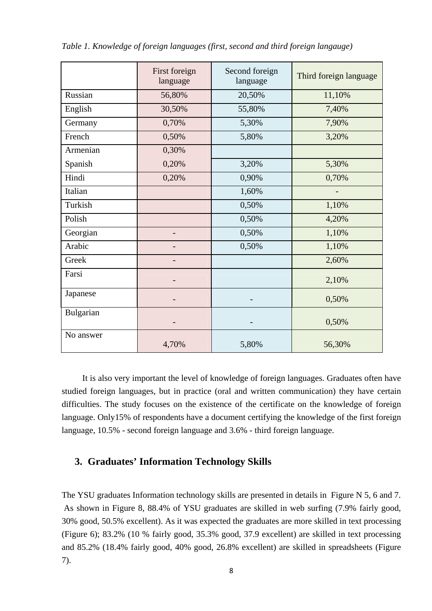|           | First foreign<br>language | Second foreign<br>language | Third foreign language |
|-----------|---------------------------|----------------------------|------------------------|
| Russian   | 56,80%                    | 20,50%                     | 11,10%                 |
| English   | 30,50%                    | 55,80%                     | 7,40%                  |
| Germany   | 0,70%                     | 5,30%                      | 7,90%                  |
| French    | 0,50%                     | 5,80%                      | 3,20%                  |
| Armenian  | 0,30%                     |                            |                        |
| Spanish   | 0,20%                     | 3,20%                      | 5,30%                  |
| Hindi     | 0,20%                     | 0,90%                      | 0,70%                  |
| Italian   |                           | 1,60%                      |                        |
| Turkish   |                           | 0,50%                      | 1,10%                  |
| Polish    |                           | 0,50%                      | 4,20%                  |
| Georgian  | -                         | 0,50%                      | 1,10%                  |
| Arabic    |                           | 0,50%                      | 1,10%                  |
| Greek     |                           |                            | 2,60%                  |
| Farsi     |                           |                            | 2,10%                  |
| Japanese  |                           |                            | 0,50%                  |
| Bulgarian |                           |                            | 0,50%                  |
| No answer | 4,70%                     | 5,80%                      | 56,30%                 |

*Table 1. Knowledge of foreign languages (first, second and third foreign langauge)* 

It is also very important the level of knowledge of foreign languages. Graduates often have studied foreign languages, but in practice (oral and written communication) they have certain difficulties. The study focuses on the existence of the certificate on the knowledge of foreign language. Only15% of respondents have a document certifying the knowledge of the first foreign language, 10.5% - second foreign language and 3.6% - third foreign language.

## **3. Graduates' Information Technology Skills**

The YSU graduates Information technology skills are presented in details in Figure N 5, 6 and 7. As shown in Figure 8, 88.4% of YSU graduates are skilled in web surfing (7.9% fairly good, 30% good, 50.5% excellent). As it was expected the graduates are more skilled in text processing (Figure 6); 83.2% (10 % fairly good, 35.3% good, 37.9 excellent) are skilled in text processing and 85.2% (18.4% fairly good, 40% good, 26.8% excellent) are skilled in spreadsheets (Figure 7).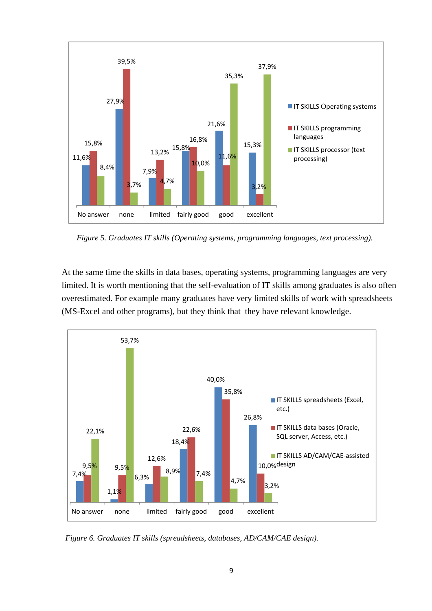

*Figure 5. Graduates IT skills (Operating systems, programming languages, text processing).* 

At the same time the skills in data bases, operating systems, programming languages are very limited. It is worth mentioning that the self-evaluation of IT skills among graduates is also often overestimated. For example many graduates have very limited skills of work with spreadsheets (MS-Excel and other programs), but they think that they have relevant knowledge.



*Figure 6. Graduates IT skills (spreadsheets, databases, AD/CAM/CAE design).*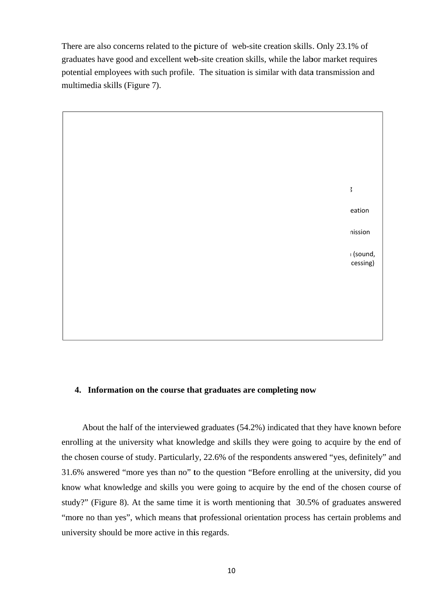There are also concerns related to the picture of web-site creation skills. Only 23.1% of graduates have good and excellent web-site creation skills, while the labor market requires potential employees with such profile. The situation is similar with data transmission and multimedia skills (Figure 7).



#### 4. Information on the course that graduates are completing now

About the half of the interviewed graduates (54.2%) indicated that they have known before enrolling at the university what knowledge and skills they were going to acquire by the end of the chosen course of study. Particularly, 22.6% of the respondents answered "yes, definitely" and 31.6% answered "more yes than no" to the question "Before enrolling at the university, did you know what knowledge and skills you were going to acquire by the end of the chosen course of study?" (Figure 8). At the same time it is worth mentioning that 30.5% of graduates answered "more no than yes", which means that professional orientation process has certain problems and university should be more active in this regards.